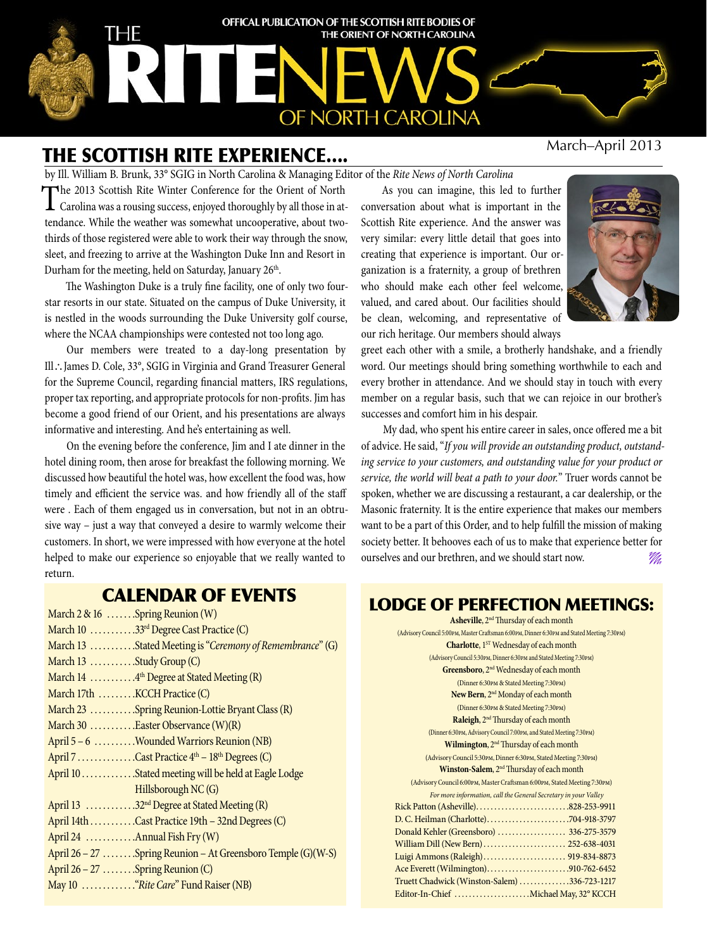

# The Scottish Rite experience….

by Ill. William B. Brunk, 33° SGIG in North Carolina & Managing Editor of the *Rite News of North Carolina*

The 2013 Scottish Rite Winter Conference for the Orient of North Carolina was a rousing success, enjoyed thoroughly by all those in attendance. While the weather was somewhat uncooperative, about twothirds of those registered were able to work their way through the snow, sleet, and freezing to arrive at the Washington Duke Inn and Resort in Durham for the meeting, held on Saturday, January 26<sup>th</sup>.

The Washington Duke is a truly fine facility, one of only two fourstar resorts in our state. Situated on the campus of Duke University, it is nestled in the woods surrounding the Duke University golf course, where the NCAA championships were contested not too long ago.

Our members were treated to a day-long presentation by Ill∴James D. Cole, 33°, SGIG in Virginia and Grand Treasurer General for the Supreme Council, regarding financial matters, IRS regulations, proper tax reporting, and appropriate protocols for non-profits. Jim has become a good friend of our Orient, and his presentations are always informative and interesting. And he's entertaining as well.

On the evening before the conference, Jim and I ate dinner in the hotel dining room, then arose for breakfast the following morning. We discussed how beautiful the hotel was, how excellent the food was, how timely and efficient the service was. and how friendly all of the staff were . Each of them engaged us in conversation, but not in an obtrusive way – just a way that conveyed a desire to warmly welcome their customers. In short, we were impressed with how everyone at the hotel helped to make our experience so enjoyable that we really wanted to return.

As you can imagine, this led to further conversation about what is important in the Scottish Rite experience. And the answer was very similar: every little detail that goes into creating that experience is important. Our organization is a fraternity, a group of brethren who should make each other feel welcome, valued, and cared about. Our facilities should be clean, welcoming, and representative of our rich heritage. Our members should always



greet each other with a smile, a brotherly handshake, and a friendly word. Our meetings should bring something worthwhile to each and every brother in attendance. And we should stay in touch with every member on a regular basis, such that we can rejoice in our brother's successes and comfort him in his despair.

My dad, who spent his entire career in sales, once offered me a bit of advice. He said, "*If you will provide an outstanding product, outstanding service to your customers, and outstanding value for your product or service, the world will beat a path to your door.*" Truer words cannot be spoken, whether we are discussing a restaurant, a car dealership, or the Masonic fraternity. It is the entire experience that makes our members want to be a part of this Order, and to help fulfill the mission of making society better. It behooves each of us to make that experience better for ourselves and our brethren, and we should start now.

# Calendar of EVENTS

| March 2 & 16 Spring Reunion (W)                              |
|--------------------------------------------------------------|
| March 10 33rd Degree Cast Practice (C)                       |
| March 13 Stated Meeting is "Ceremony of Remembrance" (G)     |
| March 13 Study Group (C)                                     |
| March 14 4 <sup>th</sup> Degree at Stated Meeting (R)        |
| March 17th KCCH Practice (C)                                 |
| March 23 Spring Reunion-Lottie Bryant Class (R)              |
| March 30 $\dots$ $\dots$ $\dots$ Easter Observance (W)(R)    |
| April 5 – 6 Wounded Warriors Reunion (NB)                    |
| April 7 Cast Practice $4th - 18th$ Degrees (C)               |
| April 10 Stated meeting will be held at Eagle Lodge          |
| Hillsborough NC (G)                                          |
| April 13 32 <sup>nd</sup> Degree at Stated Meeting (R)       |
| April 14th Cast Practice 19th - 32nd Degrees (C)             |
| April 24  Annual Fish Fry (W)                                |
| April 26 – 27 Spring Reunion – At Greensboro Temple (G)(W-S) |
| April $26 - 27$ Spring Reunion (C)                           |
|                                                              |
|                                                              |

# Lodge of Perfection meetings:

| <b>Asheville, 2<sup>nd</sup></b> Thursday of each month                                     |
|---------------------------------------------------------------------------------------------|
| (Advisory Council 5:00pm, Master Craftsman 6:00pm, Dinner 6:30pm and Stated Meeting 7:30pm) |
| Charlotte, 1 <sup>ST</sup> Wednesday of each month                                          |
| (Advisory Council 5:30PM, Dinner 6:30PM and Stated Meeting 7:30PM)                          |
| Greensboro, 2 <sup>nd</sup> Wednesday of each month                                         |
| (Dinner 6:30PM & Stated Meeting 7:30PM)                                                     |
| New Bern, 2 <sup>nd</sup> Monday of each month                                              |
| (Dinner 6:30PM & Stated Meeting 7:30PM)                                                     |
| Raleigh, 2 <sup>nd</sup> Thursday of each month                                             |
| (Dinner 6:30PM, Advisory Council 7:00PM, and Stated Meeting 7:30PM)                         |
| Wilmington, 2 <sup>nd</sup> Thursday of each month                                          |
| (Advisory Council 5:30PM, Dinner 6:30PM, Stated Meeting 7:30PM)                             |
| Winston-Salem, 2 <sup>nd</sup> Thursday of each month                                       |
| (Advisory Council 6:00PM, Master Craftsman 6:00PM, Stated Meeting 7:30PM)                   |
| For more information, call the General Secretary in your Valley                             |
|                                                                                             |
| D. C. Heilman (Charlotte)704-918-3797                                                       |
| Donald Kehler (Greensboro)  336-275-3579                                                    |
| William Dill (New Bern)  252-638-4031                                                       |
| Luigi Ammons (Raleigh) 919-834-8873                                                         |
| Ace Everett (Wilmington)910-762-6452                                                        |
| Truett Chadwick (Winston-Salem) 336-723-1217                                                |
| Editor-In-Chief Michael May, 32° KCCH                                                       |
|                                                                                             |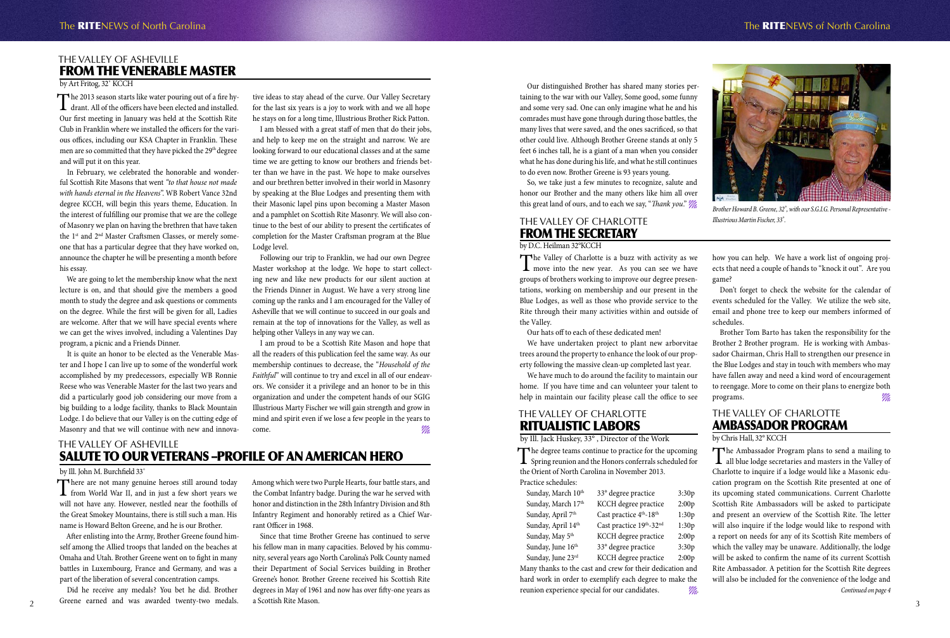### The Valley of AshEville From the Venerable Master

by Art Fritog, 32˚ KCCH

The 2013 season starts like water pouring out of a fire hy-<br>drant. All of the officers have been elected and installed. Our first meeting in January was held at the Scottish Rite Club in Franklin where we installed the officers for the various offices, including our KSA Chapter in Franklin. These men are so committed that they have picked the 29<sup>th</sup> degree and will put it on this year.

In February, we celebrated the honorable and wonderful Scottish Rite Masons that went *"to that house not made with hands eternal in the Heavens*". WB Robert Vance 32nd degree KCCH, will begin this years theme, Education. In the interest of fulfilling our promise that we are the college of Masonry we plan on having the brethren that have taken the 1<sup>st</sup> and 2<sup>nd</sup> Master Craftsmen Classes, or merely someone that has a particular degree that they have worked on, announce the chapter he will be presenting a month before his essay.

We are going to let the membership know what the next lecture is on, and that should give the members a good month to study the degree and ask questions or comments on the degree. While the first will be given for all, Ladies are welcome. After that we will have special events where we can get the wives involved, including a Valentines Day program, a picnic and a Friends Dinner.

I am proud to be a Scottish Rite Mason and hope that all the readers of this publication feel the same way. As our membership continues to decrease, the "*Household of the Faithful*" will continue to try and excel in all of our endeavors. We consider it a privilege and an honor to be in this organization and under the competent hands of our SGIG Illustrious Marty Fischer we will gain strength and grow in mind and spirit even if we lose a few people in the years to come.

It is quite an honor to be elected as the Venerable Master and I hope I can live up to some of the wonderful work accomplished by my predecessors, especially WB Ronnie Reese who was Venerable Master for the last two years and did a particularly good job considering our move from a big building to a lodge facility, thanks to Black Mountain Lodge. I do believe that our Valley is on the cutting edge of Masonry and that we will continue with new and innovative ideas to stay ahead of the curve. Our Valley Secretary for the last six years is a joy to work with and we all hope he stays on for a long time, Illustrious Brother Rick Patton.

There are not many genuine heroes still around today<br>from World War II, and in just a few short years we<br>in the calculus of the calculus of will not have any. However, nestled near the foothills of the Great Smokey Mountains, there is still such a man. His name is Howard Belton Greene, and he is our Brother.

Did he receive any medals? You bet he did. Brother Greene earned and was awarded twenty-two medals.  $2^{3}$  Greene earned and was awarded twenty-two medals. a Scottish Kite Mason.

I am blessed with a great staff of men that do their jobs, and help to keep me on the straight and narrow. We are looking forward to our educational classes and at the same time we are getting to know our brothers and friends better than we have in the past. We hope to make ourselves and our brethren better involved in their world in Masonry by speaking at the Blue Lodges and presenting them with their Masonic lapel pins upon becoming a Master Mason and a pamphlet on Scottish Rite Masonry. We will also continue to the best of our ability to present the certificates of completion for the Master Craftsman program at the Blue Lodge level.

So, we take just a few minutes to recognize, salute and honor our Brother and the many others like him all over this great land of ours, and to each we say, "*Thank you." "///*<br>Brother Howard B. Greene, 32°, with our S.G.I.G. Personal Representative -

Following our trip to Franklin, we had our own Degree Master workshop at the lodge. We hope to start collecting new and like new products for our silent auction at the Friends Dinner in August. We have a very strong line coming up the ranks and I am encouraged for the Valley of Asheville that we will continue to succeed in our goals and remain at the top of innovations for the Valley, as well as helping other Valleys in any way we can.

> The degree teams continue to practice for the upcoming<br>
> Spring reunion and the Honors conferrals scheduled for the Orient of North Carolina in November 2013. Practice schedules:

Sunday, March  $10^{th}$  33° degree practice 3:30p Sunday, March 17<sup>th</sup> KCCH degree practice 2:00p Sunday, April  $7<sup>th</sup>$  Cast practice  $4<sup>th</sup>$ -18<sup>th</sup> 1:30p Sunday, April  $14^{th}$  Cast practice  $19^{th}$ -32<sup>nd</sup> 1:30p Sunday, May  $5<sup>th</sup>$  KCCH degree practice 2:00p

Sunday, June  $16<sup>th</sup>$  33° degree practice 3:30p Sunday, June 23rd KCCH degree practice 2:00p

# The Valley of AshEville SALUTE TO OUR VETERANS –Profile of an American Hero

### by Ill. John M. Burchfield 33˚

The Ambassador Program plans to send a mailing to all blue lodge secretaries and masters in the Valley of Charlotte to inquire if a lodge would like a Masonic education program on the Scottish Rite presented at one of its upcoming stated communications. Current Charlotte Scottish Rite Ambassadors will be asked to participate and present an overview of the Scottish Rite. The letter will also inquire if the lodge would like to respond with a report on needs for any of its Scottish Rite members of which the valley may be unaware. Additionally, the lodge will be asked to confirm the name of its current Scottish Rite Ambassador. A petition for the Scottish Rite degrees will also be included for the convenience of the lodge and

The Valley of Charlotte is a buzz with activity as we move into the new year. As you can see we have groups of brothers working to improve our degree presentations, working on membership and our present in the Blue Lodges, as well as those who provide service to the Rite through their many activities within and outside of the Valley.

After enlisting into the Army, Brother Greene found himself among the Allied troops that landed on the beaches at Omaha and Utah. Brother Greene went on to fight in many battles in Luxembourg, France and Germany, and was a part of the liberation of several concentration camps.

Brother Tom Barto has taken the responsibility for the Brother 2 Brother program. He is working with Ambassador Chairman, Chris Hall to strengthen our presence in the Blue Lodges and stay in touch with members who may have fallen away and need a kind word of encouragement to reengage. More to come on their plans to energize both programs.

Among which were two Purple Hearts, four battle stars, and the Combat Infantry badge. During the war he served with honor and distinction in the 28th Infantry Division and 8th Infantry Regiment and honorably retired as a Chief Warrant Officer in 1968.

Since that time Brother Greene has continued to serve his fellow man in many capacities. Beloved by his community, several years ago North Carolina's Polk County named their Department of Social Services building in Brother Greene's honor. Brother Greene received his Scottish Rite degrees in May of 1961 and now has over fifty-one years as a Scottish Rite Mason.

Our distinguished Brother has shared many stories pertaining to the war with our Valley, Some good, some funny and some very sad. One can only imagine what he and his comrades must have gone through during those battles, the many lives that were saved, and the ones sacrificed, so that other could live. Although Brother Greene stands at only 5 feet 6 inches tall, he is a giant of a man when you consider what he has done during his life, and what he still continues to do even now. Brother Greene is 93 years young.



*Illustrious Martin Fischer, 33*˚*.*

# The Valley of Charlotte Ritualistic Labors

by Ill. Jack Huskey, 33° , Director of the Work

Many thanks to the cast and crew for their dedication and hard work in order to exemplify each degree to make the reunion experience special for our candidates. *.*

# The Valley of Charlotte Ambassador Program

### by Chris Hall, 32° KCCH

## The Valley of Charlotte From the Secretary

### by D.C. Heilman 32°KCCH

Our hats off to each of these dedicated men!

We have undertaken project to plant new arborvitae trees around the property to enhance the look of our property following the massive clean-up completed last year.

We have much to do around the facility to maintain our home. If you have time and can volunteer your talent to help in maintain our facility please call the office to see how you can help. We have a work list of ongoing projects that need a couple of hands to "knock it out". Are you

game?

### The RITENEWS of North Carolina The RITENEWS of North Carolina

Don't forget to check the website for the calendar of events scheduled for the Valley. We utilize the web site, email and phone tree to keep our members informed of schedules.

*Continued on page 4*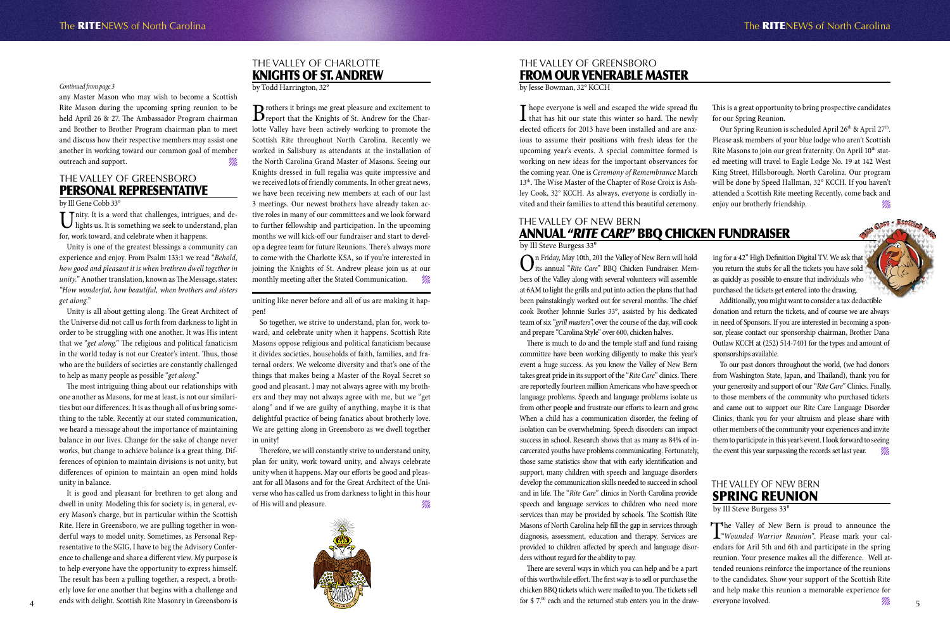# The Valley of New Bern Spring Reunion

by Ill Steve Burgess 33<sup>°</sup>

# The Valley of NEW BERN Annual "*Rite Care*" BBQ Chicken Fundraiser

by Ill Steve Burgess 33<sup>°</sup>

On Friday, May 10th, 201 the Valley of New Bern will hold<br>its annual "*Rite Care*" BBQ Chicken Fundraiser. Members of the Valley along with several volunteers will assemble at 6AM to light the grills and put into action the plans that had been painstakingly worked out for several months. The chief cook Brother Johnnie Surles 33°, assisted by his dedicated team of six "*grill masters*", over the course of the day, will cook and prepare "Carolina Style" over 600, chicken halves.

There are several ways in which you can help and be a part of this worthwhile effort. The first way is to sell or purchase the chicken BBQ tickets which were mailed to you. The tickets sell for  $$7.^{00}$  each and the returned stub enters you in the draw-

The Valley of New Bern is proud to announce the "*Wounded Warrior Reunion*". Please mark your calendars for Aril 5th and 6th and participate in the spring reunion. Your presence makes all the difference. Well attended reunions reinforce the importance of the reunions to the candidates. Show your support of the Scottish Rite and help make this reunion a memorable experience for everyone involved.  $\frac{1}{4}$  ends with delight, scottish Kite Masonry in Greensboro is  $\frac{1}{4}$   $\frac{1}{5}$  for  $\frac{1}{2}$  for  $\frac{1}{2}$  from  $\frac{1}{2}$  for  $\frac{1}{2}$  from  $\frac{1}{2}$  from  $\frac{1}{2}$  for  $\frac{1}{2}$  from  $\frac{1}{2}$  for  $\frac{1}{2}$  fro

There is much to do and the temple staff and fund raising committee have been working diligently to make this year's event a huge success. As you know the Valley of New Bern takes great pride in its support of the "*Rite Care*" clinics. There are reportedly fourteen million Americans who have speech or language problems. Speech and language problems isolate us from other people and frustrate our efforts to learn and grow. When a child has a communication disorder, the feeling of isolation can be overwhelming. Speech disorders can impact success in school. Research shows that as many as 84% of incarcerated youths have problems communicating. Fortunately, those same statistics show that with early identification and support, many children with speech and language disorders develop the communication skills needed to succeed in school and in life. The "*Rite Care*" clinics in North Carolina provide speech and language services to children who need more services than may be provided by schools. The Scottish Rite Masons of North Carolina help fill the gap in services through diagnosis, assessment, education and therapy. Services are provided to children affected by speech and language disorders without regard for the ability to pay.

 $\prod$  hope everyone is well and escaped the wide spread flu<br>that has hit our state this winter so hard. The newly elected officers for 2013 have been installed and are anxious to assume their positions with fresh ideas for the upcoming year's events. A special committee formed is working on new ideas for the important observances for the coming year. One is *Ceremony of Remembrance* March 13th. The Wise Master of the Chapter of Rose Croix is Ashley Cook, 32° KCCH. As always, everyone is cordially invited and their families to attend this beautiful ceremony.

Unity. It is a word that challenges, intrigues, and de-<br>lights us. It is something we seek to understand, plan for, work toward, and celebrate when it happens.

> ing for a 42" High Definition Digital TV. We ask that you return the stubs for all the tickets you have sold as quickly as possible to ensure that individuals who purchased the tickets get entered into the drawing.

Additionally, you might want to consider a tax deductible donation and return the tickets, and of course we are always in need of Sponsors. If you are interested in becoming a sponsor, please contact our sponsorship chairman, Brother Dana Outlaw KCCH at (252) 514-7401 for the types and amount of sponsorships available.

To our past donors throughout the world, (we had donors from Washington State, Japan, and Thailand), thank you for your generosity and support of our "*Rite Care*" Clinics. Finally, to those members of the community who purchased tickets and came out to support our Rite Care Language Disorder Clinics, thank you for your altruism and please share with other members of the community your experiences and invite them to participate in this year's event. I look forward to seeing the event this year surpassing the records set last year.

### The Valley of Greensboro From our Venerable Master

by Jesse Bowman, 32° KCCH

This is a great opportunity to bring prospective candidates for our Spring Reunion.

Our Spring Reunion is scheduled April 26<sup>th</sup> & April 27<sup>th</sup>. Please ask members of your blue lodge who aren't Scottish Rite Masons to join our great fraternity. On April 10<sup>th</sup> stated meeting will travel to Eagle Lodge No. 19 at 142 West King Street, Hillsborough, North Carolina. Our program will be done by Speed Hallman, 32° KCCH. If you haven't attended a Scottish Rite meeting Recently, come back and enjoy our brotherly friendship.  $\mathscr{W}_4$ 

Therefore, we will constantly strive to understand unity, plan for unity, work toward unity, and always celebrate unity when it happens. May our efforts be good and pleasant for all Masons and for the Great Architect of the Universe who has called us from darkness to light in this hour of His will and pleasure.



## The Valley of Greensboro Personal Representative

### by Ill Gene Cobb 33°

Unity is one of the greatest blessings a community can experience and enjoy. From Psalm 133:1 we read "*Behold, how good and pleasant it is when brethren dwell together in unity.*" Another translation, known as The Message, states: *"How wonderful, how beautiful, when brothers and sisters get along.*"

Unity is all about getting along. The Great Architect of the Universe did not call us forth from darkness to light in order to be struggling with one another. It was His intent that we "*get along*." The religious and political fanaticism in the world today is not our Creator's intent. Thus, those who are the builders of societies are constantly challenged to help as many people as possible "*get along*."

The most intriguing thing about our relationships with one another as Masons, for me at least, is not our similarities but our differences. It is as though all of us bring something to the table. Recently at our stated communication, we heard a message about the importance of maintaining balance in our lives. Change for the sake of change never works, but change to achieve balance is a great thing. Differences of opinion to maintain divisions is not unity, but differences of opinion to maintain an open mind holds unity in balance.

It is good and pleasant for brethren to get along and dwell in unity. Modeling this for society is, in general, every Mason's charge, but in particular within the Scottish Rite. Here in Greensboro, we are pulling together in wonderful ways to model unity. Sometimes, as Personal Representative to the SGIG, I have to beg the Advisory Conference to challenge and share a different view. My purpose is to help everyone have the opportunity to express himself. The result has been a pulling together, a respect, a brotherly love for one another that begins with a challenge and ends with delight. Scottish Rite Masonry in Greensboro is

any Master Mason who may wish to become a Scottish Rite Mason during the upcoming spring reunion to be held April 26 & 27. The Ambassador Program chairman and Brother to Brother Program chairman plan to meet and discuss how their respective members may assist one another in working toward our common goal of member outreach and support.

### *Continued from page 3*

### The Valley of Charlotte Knights of St. Andrew

by Todd Harrington, 32°

Brothers it brings me great pleasure and excitement to report that the Knights of St. Andrew for the Charlotte Valley have been actively working to promote the Scottish Rite throughout North Carolina. Recently we worked in Salisbury as attendants at the installation of the North Carolina Grand Master of Masons. Seeing our Knights dressed in full regalia was quite impressive and we received lots of friendly comments. In other great news, we have been receiving new members at each of our last 3 meetings. Our newest brothers have already taken active roles in many of our committees and we look forward to further fellowship and participation. In the upcoming months we will kick-off our fundraiser and start to develop a degree team for future Reunions. There's always more to come with the Charlotte KSA, so if you're interested in joining the Knights of St. Andrew please join us at our monthly meeting after the Stated Communication.  $\mathscr{W}_4$ 

uniting like never before and all of us are making it happen!

So together, we strive to understand, plan for, work toward, and celebrate unity when it happens. Scottish Rite Masons oppose religious and political fanaticism because it divides societies, households of faith, families, and fraternal orders. We welcome diversity and that's one of the things that makes being a Master of the Royal Secret so good and pleasant. I may not always agree with my brothers and they may not always agree with me, but we "get along" and if we are guilty of anything, maybe it is that delightful practice of being fanatics about brotherly love. We are getting along in Greensboro as we dwell together in unity!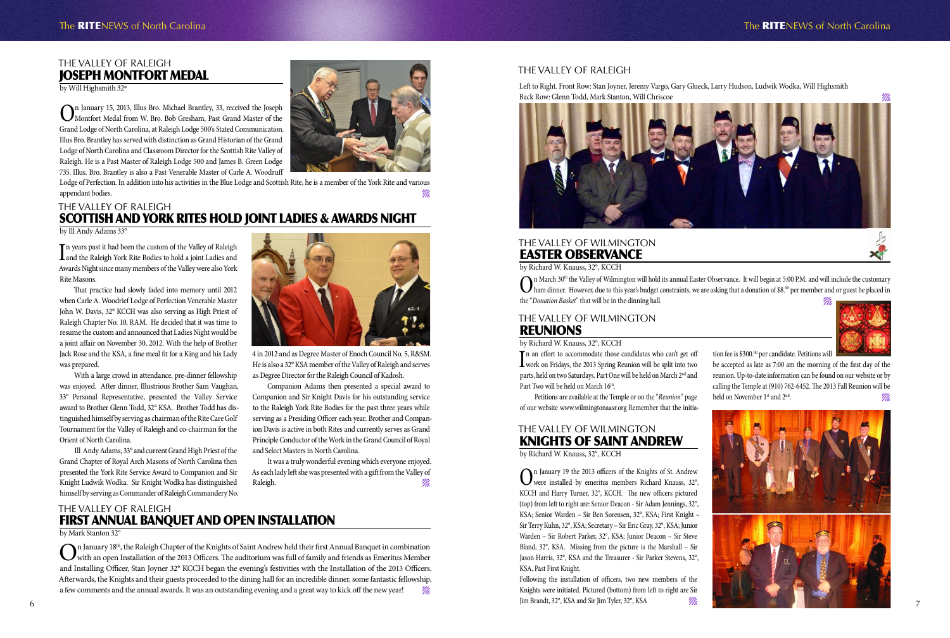### The Valley of Raleigh Joseph Montfort Medal

by Will Highsmith 32º

On January 15, 2013, Illus Bro. Michael Brantley, 33, received the Joseph Montfort Medal from W. Bro. Bob Gresham, Past Grand Master of the Grand Lodge of North Carolina, at Raleigh Lodge 500's Stated Communication. Illus Bro. Brantley has served with distinction as Grand Historian of the Grand Lodge of North Carolina and Classroom Director for the Scottish Rite Valley of Raleigh. He is a Past Master of Raleigh Lodge 500 and James B. Green Lodge 735. Illus. Bro. Brantley is also a Past Venerable Master of Carle A. Woodruff



Lodge of Perfection. In addition into his activities in the Blue Lodge and Scottish Rite, he is a member of the York Rite and various appendant bodies.

The Valley of Raleigh first Annual Banquet anD open Installation

### by Mark Stanton 32°

 $\sum_{\text{N}}$ n January 18<sup>th</sup>, the Raleigh Chapter of the Knights of Saint Andrew held their first Annual Banquet in combination<br>with an open Installation of the 2013 Officers. The auditorium was full of family and friends a and Installing Officer, Stan Joyner 32° KCCH began the evening's festivities with the Installation of the 2013 Officers. Afterwards, the Knights and their guests proceeded to the dining hall for an incredible dinner, some fantastic fellowship, a few comments and the annual awards. It was an outstanding evening and a great way to kick off the new year!

In years past it had been the custom of the Valley of Raleigh<br>and the Raleigh York Rite Bodies to hold a joint Ladies and n years past it had been the custom of the Valley of Raleigh Awards Night since many members of the Valley were also York Rite Masons.

## The Valley of Raleigh Scottish and York RiteS Hold Joint Ladies & Awards Night

### by Ill Andy Adams 33°

It was a truly wonderful evening which everyone enjoyed. As each lady left she was presented with a gift from the Valley of Raleigh. The contract of the contract of the contract of the contract of the contract of the contract of the contract of the contract of the contract of the contract of the contract of the contract of the contract of the c

That practice had slowly faded into memory until 2012 when Carle A. Woodrief Lodge of Perfection Venerable Master John W. Davis, 32° KCCH was also serving as High Priest of Raleigh Chapter No. 10, RAM. He decided that it was time to resume the custom and announced that Ladies Night would be a joint affair on November 30, 2012. With the help of Brother Jack Rose and the KSA, a fine meal fit for a King and his Lady was prepared.

> On January 19 the 2013 officers of the Knights of St. Andrew<br>were installed by emeritus members Richard Knauss, 32°,<br>were installed by emeritus members Richard Knauss, 32°, KCCH and Harry Turner, 32°, KCCH. The new officers pictured (top) from left to right are: Senior Deacon - Sir Adam Jennings, 32°, KSA; Senior Warden – Sir Ben Sorensen, 32°, KSA; First Knight – Sir Terry Kuhn, 32°, KSA; Secretary – Sir Eric Gray, 32°, KSA; Junior Warden – Sir Robert Parker, 32°, KSA; Junior Deacon – Sir Steve Bland, 32°, KSA. Missing from the picture is the Marshall – Sir Jason Harris, 32°, KSA and the Treasurer - Sir Parker Stevens, 32°, KSA, Past First Knight.

### The Valley of Wilmington **REUNIONS**

With a large crowd in attendance, pre-dinner fellowship was enjoyed. After dinner, Illustrious Brother Sam Vaughan, 33° Personal Representative, presented the Valley Service award to Brother Glenn Todd, 32° KSA. Brother Todd has distinguished himself by serving as chairman of the Rite Care Golf Tournament for the Valley of Raleigh and co-chairman for the Orient of North Carolina.

be accepted as late as 7:00 am the morning of the first day of the reunion. Up-to-date information can be found on our website or by calling the Temple at (910) 762-6452. The 2013 Fall Reunion will be held on November 1<sup>st</sup> and 2<sup>nd</sup>.

Ill Andy Adams, 33° and current Grand High Priest of the Grand Chapter of Royal Arch Masons of North Carolina then presented the York Rite Service Award to Companion and Sir Knight Ludwik Wodka. Sir Knight Wodka has distinguished himself by serving as Commander of Raleigh Commandery No.



**O**n March 30<sup>th</sup> the Valley of Wilmington will hold its annual Easter Observance. It will begin at 5:00 P.M. and will include the customary<br>ham dinner. However, due to this year's budget constraints, we are asking that a the "*Donation Basket*" that will be in the dinning hall.

4 in 2012 and as Degree Master of Enoch Council No. 5, R&SM. He is also a 32° KSA member of the Valley of Raleigh and serves as Degree Director for the Raleigh Council of Kadosh.

Companion Adams then presented a special award to Companion and Sir Knight Davis for his outstanding service to the Raleigh York Rite Bodies for the past three years while serving as a Presiding Officer each year. Brother and Companion Davis is active in both Rites and currently serves as Grand Principle Conductor of the Work in the Grand Council of Royal and Select Masters in North Carolina.



### The Valley of Raleigh

Left to Right. Front Row: Stan Joyner, Jeremy Vargo, Gary Glueck, Larry Hudson, Ludwik Wodka, Will Highsmith Back Row: Glenn Todd, Mark Stanton, Will Chriscoe



# The Valley of Wilmington Knights of Saint Andrew

by Richard W. Knauss, 32°, KCCH

Following the installation of officers, two new members of the Knights were initiated. Pictured (bottom) from left to right are Sir Jim Brandt, 32°, KSA and Sir Jim Tyler, 32°, KSA



## The RITENEWS of North Carolina The RITENEWS of North Carolina



tion fee is \$300.<sup>00</sup> per candidate. Petitions will

### by Richard W. Knauss, 32°, KCCH

In an effort to accommodate those candidates who can't get off<br>work on Fridays, the 2013 Spring Reunion will be split into two n an effort to accommodate those candidates who can't get off parts, held on two Saturdays. Part One will be held on March 2nd and Part Two will be held on March 16<sup>th</sup>.

Petitions are available at the Temple or on the "*Reunion*" page of our website www.wilmingtonaasr.org Remember that the initia-

## The Valley of Wilmington Easter Observance

by Richard W. Knauss, 32°, KCCH